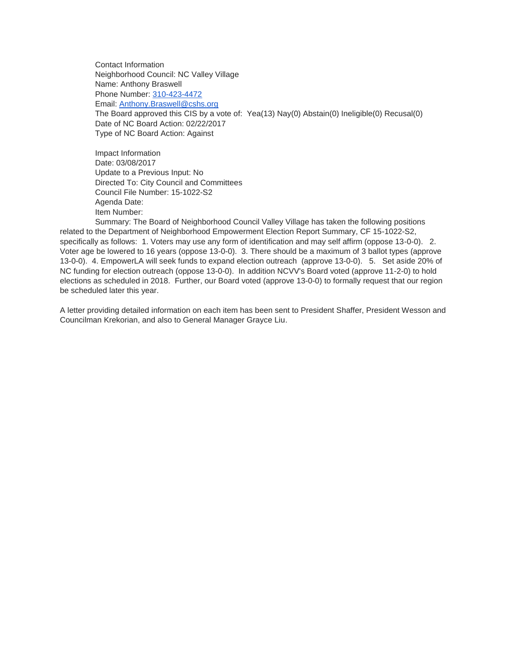Contact Information Neighborhood Council: NC Valley Village Name: Anthony Braswell Phone Number: [310-423-4472](tel:310-423-4472) Email: [Anthony.Braswell@cshs.org](mailto:Anthony.Braswell@cshs.org) The Board approved this CIS by a vote of: Yea(13) Nay(0) Abstain(0) Ineligible(0) Recusal(0) Date of NC Board Action: 02/22/2017 Type of NC Board Action: Against

Impact Information Date: 03/08/2017 Update to a Previous Input: No Directed To: City Council and Committees Council File Number: 15-1022-S2 Agenda Date: Item Number:

Summary: The Board of Neighborhood Council Valley Village has taken the following positions related to the Department of Neighborhood Empowerment Election Report Summary, CF 15-1022-S2, specifically as follows: 1. Voters may use any form of identification and may self affirm (oppose 13-0-0). 2. Voter age be lowered to 16 years (oppose 13-0-0). 3. There should be a maximum of 3 ballot types (approve 13-0-0). 4. EmpowerLA will seek funds to expand election outreach (approve 13-0-0). 5. Set aside 20% of NC funding for election outreach (oppose 13-0-0). In addition NCVV's Board voted (approve 11-2-0) to hold elections as scheduled in 2018. Further, our Board voted (approve 13-0-0) to formally request that our region be scheduled later this year.

A letter providing detailed information on each item has been sent to President Shaffer, President Wesson and Councilman Krekorian, and also to General Manager Grayce Liu.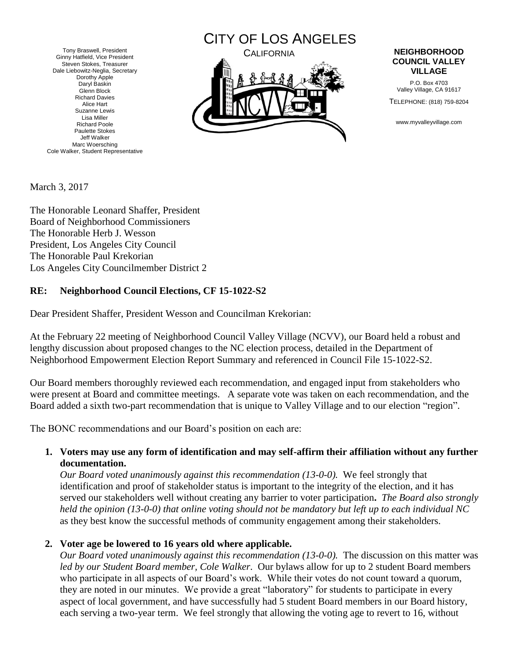Tony Braswell, President Ginny Hatfield, Vice President Steven Stokes, Treasurer Dale Liebowitz-Neglia, Secretary Dorothy Apple Daryl Baskin Glenn Block Richard Davies Alice Hart Suzanne Lewis Lisa Miller Richard Poole Paulette Stokes Jeff Walker Marc Woersching Cole Walker, Student Representative



## **COUNCIL VALLEY VILLAGE**

P.O. Box 4703 Valley Village, CA 91617

TELEPHONE: (818) 759-8204

www.myvalleyvillage.com

March 3, 2017

The Honorable Leonard Shaffer, President Board of Neighborhood Commissioners The Honorable Herb J. Wesson President, Los Angeles City Council The Honorable Paul Krekorian Los Angeles City Councilmember District 2

## **RE: Neighborhood Council Elections, CF 15-1022-S2**

Dear President Shaffer, President Wesson and Councilman Krekorian:

At the February 22 meeting of Neighborhood Council Valley Village (NCVV), our Board held a robust and lengthy discussion about proposed changes to the NC election process, detailed in the Department of Neighborhood Empowerment Election Report Summary and referenced in Council File 15-1022-S2.

Our Board members thoroughly reviewed each recommendation, and engaged input from stakeholders who were present at Board and committee meetings. A separate vote was taken on each recommendation, and the Board added a sixth two-part recommendation that is unique to Valley Village and to our election "region".

The BONC recommendations and our Board's position on each are:

**1. Voters may use any form of identification and may self-affirm their affiliation without any further documentation.** 

*Our Board voted unanimously against this recommendation (13-0-0).* We feel strongly that identification and proof of stakeholder status is important to the integrity of the election, and it has served our stakeholders well without creating any barrier to voter participation**.** *The Board also strongly held the opinion (13-0-0) that online voting should not be mandatory but left up to each individual NC* as they best know the successful methods of community engagement among their stakeholders.

**2. Voter age be lowered to 16 years old where applicable.**

*Our Board voted unanimously against this recommendation (13-0-0).* The discussion on this matter was *led by our Student Board member, Cole Walker*. Our bylaws allow for up to 2 student Board members who participate in all aspects of our Board's work. While their votes do not count toward a quorum, they are noted in our minutes. We provide a great "laboratory" for students to participate in every aspect of local government, and have successfully had 5 student Board members in our Board history, each serving a two-year term. We feel strongly that allowing the voting age to revert to 16, without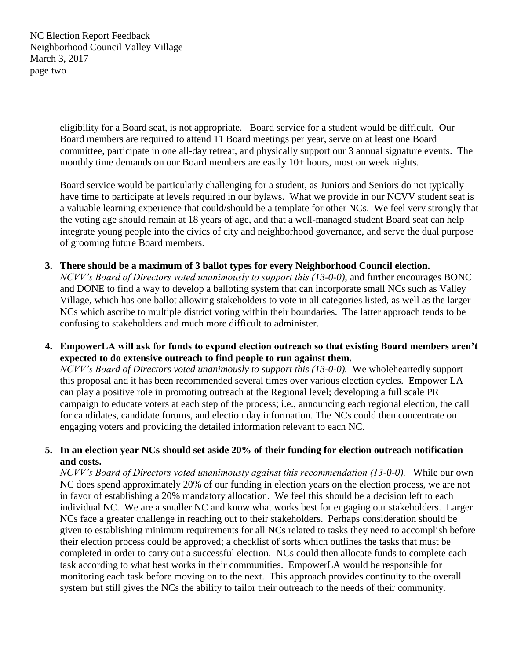NC Election Report Feedback Neighborhood Council Valley Village March 3, 2017 page two

> eligibility for a Board seat, is not appropriate. Board service for a student would be difficult. Our Board members are required to attend 11 Board meetings per year, serve on at least one Board committee, participate in one all-day retreat, and physically support our 3 annual signature events. The monthly time demands on our Board members are easily 10+ hours, most on week nights.

Board service would be particularly challenging for a student, as Juniors and Seniors do not typically have time to participate at levels required in our bylaws. What we provide in our NCVV student seat is a valuable learning experience that could/should be a template for other NCs. We feel very strongly that the voting age should remain at 18 years of age, and that a well-managed student Board seat can help integrate young people into the civics of city and neighborhood governance, and serve the dual purpose of grooming future Board members.

- **3. There should be a maximum of 3 ballot types for every Neighborhood Council election.**  *NCVV's Board of Directors voted unanimously to support this (13-0-0)*, and further encourages BONC and DONE to find a way to develop a balloting system that can incorporate small NCs such as Valley Village, which has one ballot allowing stakeholders to vote in all categories listed, as well as the larger NCs which ascribe to multiple district voting within their boundaries. The latter approach tends to be confusing to stakeholders and much more difficult to administer.
- **4. EmpowerLA will ask for funds to expand election outreach so that existing Board members aren't expected to do extensive outreach to find people to run against them.**

*NCVV's Board of Directors voted unanimously to support this (13-0-0).* We wholeheartedly support this proposal and it has been recommended several times over various election cycles. Empower LA can play a positive role in promoting outreach at the Regional level; developing a full scale PR campaign to educate voters at each step of the process; i.e., announcing each regional election, the call for candidates, candidate forums, and election day information. The NCs could then concentrate on engaging voters and providing the detailed information relevant to each NC.

## **5. In an election year NCs should set aside 20% of their funding for election outreach notification and costs.**

*NCVV's Board of Directors voted unanimously against this recommendation (13-0-0).* While our own NC does spend approximately 20% of our funding in election years on the election process, we are not in favor of establishing a 20% mandatory allocation. We feel this should be a decision left to each individual NC. We are a smaller NC and know what works best for engaging our stakeholders. Larger NCs face a greater challenge in reaching out to their stakeholders. Perhaps consideration should be given to establishing minimum requirements for all NCs related to tasks they need to accomplish before their election process could be approved; a checklist of sorts which outlines the tasks that must be completed in order to carry out a successful election. NCs could then allocate funds to complete each task according to what best works in their communities. EmpowerLA would be responsible for monitoring each task before moving on to the next. This approach provides continuity to the overall system but still gives the NCs the ability to tailor their outreach to the needs of their community.